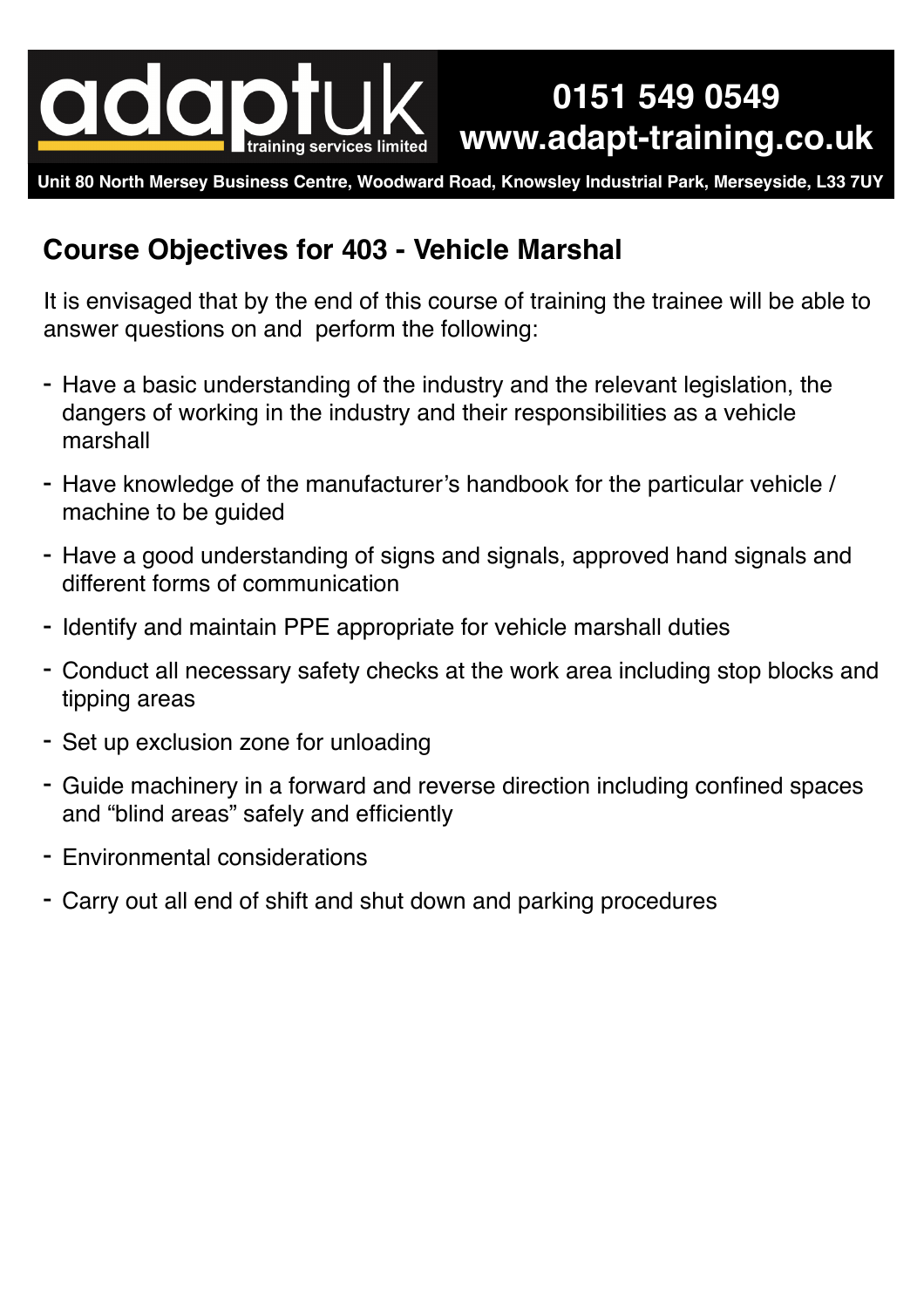

## **0151 549 0549 www.adapt-training.co.uk**

**Unit 80 North Mersey Business Centre, Woodward Road, Knowsley Industrial Park, Merseyside, L33 7UY**

## **Course Objectives for 403 - Vehicle Marshal**

It is envisaged that by the end of this course of training the trainee will be able to answer questions on and perform the following:

- Have a basic understanding of the industry and the relevant legislation, the dangers of working in the industry and their responsibilities as a vehicle marshall
- Have knowledge of the manufacturer's handbook for the particular vehicle / machine to be guided
- Have a good understanding of signs and signals, approved hand signals and different forms of communication
- Identify and maintain PPE appropriate for vehicle marshall duties
- Conduct all necessary safety checks at the work area including stop blocks and tipping areas
- Set up exclusion zone for unloading
- Guide machinery in a forward and reverse direction including confined spaces and "blind areas" safely and efficiently
- Environmental considerations
- Carry out all end of shift and shut down and parking procedures